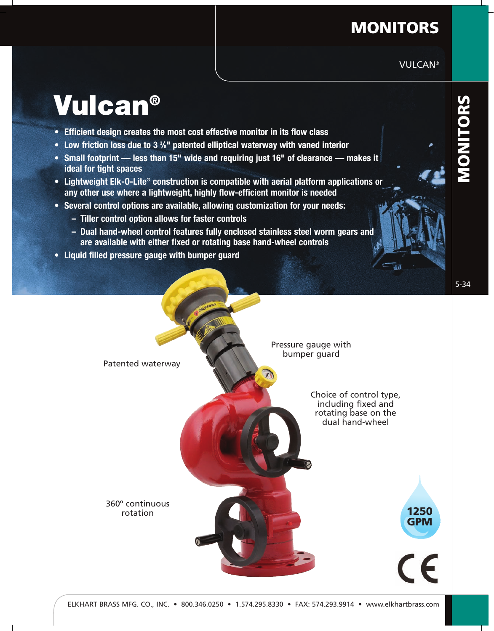## **MONITORS**

VULCAN®

## **Vulcan®**

- **Efficient design creates the most cost effective monitor in its flow class**
- **Low friction loss due to 3 3 /8" patented elliptical waterway with vaned interior**
- **Small footprint less than 15" wide and requiring just 16" of clearance makes it ideal for tight spaces**
- **Lightweight Elk-O-Lite® construction is compatible with aerial platform applications or any other use where a lightweight, highly flow-efficient monitor is needed**
- **Several control options are available, allowing customization for your needs:**
	- **Tiller control option allows for faster controls**
	- **Dual hand-wheel control features fully enclosed stainless steel worm gears and are available with either fixed or rotating base hand-wheel controls**
- **Liquid filled pressure gauge with bumper guard**

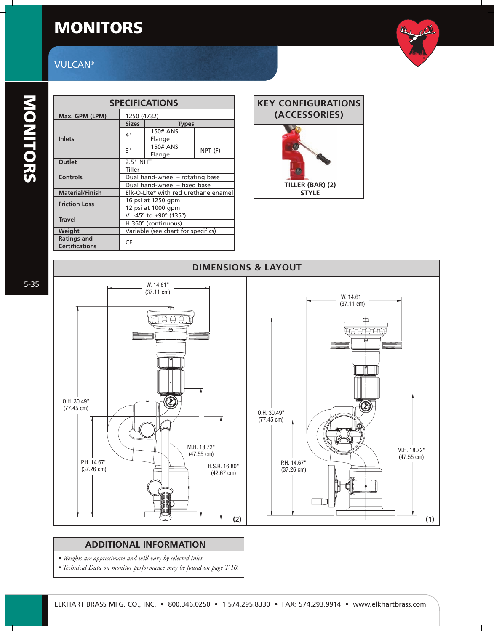## **MONITORS**

# the other

## **VULCAN®**

| <b>SPECIFICATIONS</b>  |                                      |                  |         |  |
|------------------------|--------------------------------------|------------------|---------|--|
| Max. GPM (LPM)         | 1250 (4732)                          |                  |         |  |
|                        | <b>Sizes</b>                         | <b>Types</b>     |         |  |
|                        | 4"                                   | <b>150# ANSI</b> |         |  |
| <b>Inlets</b>          |                                      | Flange           |         |  |
|                        | 3"                                   | <b>150# ANSI</b> |         |  |
|                        |                                      | Flange           | NPT (F) |  |
| Outlet                 | 2.5" NHT                             |                  |         |  |
|                        | Tiller                               |                  |         |  |
| Controls               | Dual hand-wheel - rotating base      |                  |         |  |
|                        | Dual hand-wheel - fixed base         |                  |         |  |
| <b>Material/Finish</b> | Elk-O-Lite® with red urethane enamel |                  |         |  |
| <b>Friction Loss</b>   | 16 psi at 1250 gpm                   |                  |         |  |
|                        | 12 psi at 1000 gpm                   |                  |         |  |
| <b>Travel</b>          | V -45° to +90° (135°)                |                  |         |  |
|                        | H 360° (continuous)                  |                  |         |  |
| Weight                 | Variable (see chart for specifics)   |                  |         |  |
| <b>Ratings and</b>     | CE                                   |                  |         |  |
| <b>Certifications</b>  |                                      |                  |         |  |





#### **ADDITIONAL INFORMATION**

- *Weights are approximate and will vary by selected inlet.*
- *Technical Data on monitor performance may be found on page T-10.*